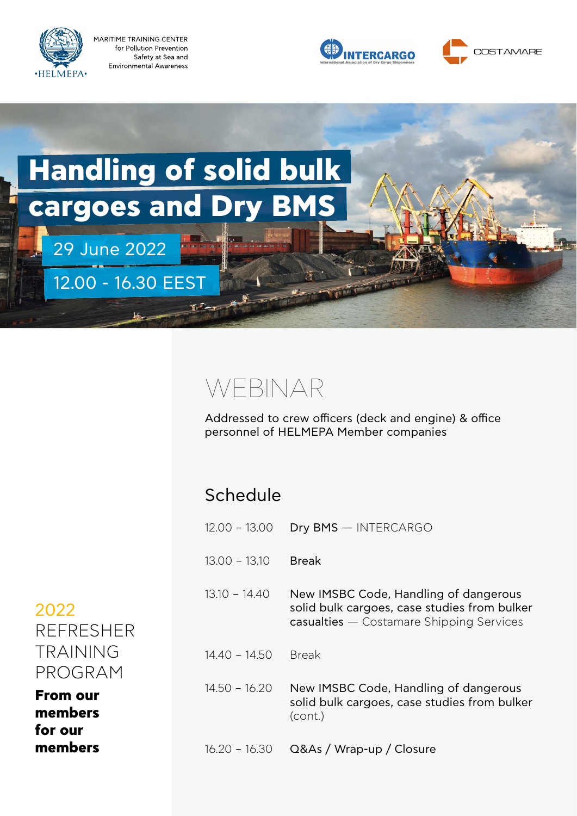

MARITIME TRAINING CENTER for Pollution Prevention Safety at Sea and **Environmental Awareness** 

29 June 2022

12.00 - 16.30 EEST





# **Handling of solid bulk cargoes and Dry BMS**

### WEBINAR

Addressed to crew officers (deck and engine) & office personnel of HELMEPA Member companies

### Schedule

| $12.00 - 13.00$ | Dry BMS - INTERCARGO                                                                                                              |
|-----------------|-----------------------------------------------------------------------------------------------------------------------------------|
| $13.00 - 13.10$ | Break                                                                                                                             |
| $13.10 - 14.40$ | New IMSBC Code, Handling of dangerous<br>solid bulk cargoes, case studies from bulker<br>casualties - Costamare Shipping Services |
| $14.40 - 14.50$ | <b>Break</b>                                                                                                                      |
| $14.50 - 16.20$ | New IMSBC Code, Handling of dangerous<br>solid bulk cargoes, case studies from bulker<br>(cont.)                                  |
| $16.20 - 16.30$ | Q&As / Wrap-up / Closure                                                                                                          |

2022 REFRESHER TRAINING PROGRAM

**From our members for our members**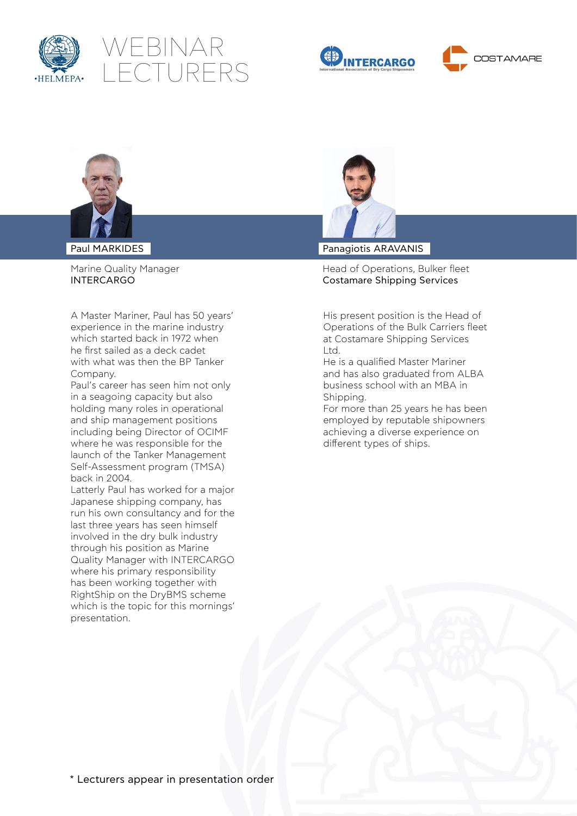









Paul MARKIDES

Marine Quality Manager INTERCARGO

A Master Mariner, Paul has 50 years' experience in the marine industry which started back in 1972 when he first sailed as a deck cadet with what was then the BP Tanker Company.

Paul's career has seen him not only in a seagoing capacity but also holding many roles in operational and ship management positions including being Director of OCIMF where he was responsible for the launch of the Tanker Management Self-Assessment program (TMSA) back in 2004.

Latterly Paul has worked for a major Japanese shipping company, has run his own consultancy and for the last three years has seen himself involved in the dry bulk industry through his position as Marine Quality Manager with INTERCARGO where his primary responsibility has been working together with RightShip on the DryBMS scheme which is the topic for this mornings' presentation.



Panagiotis ARAVANIS

Head of Operations, Bulker fleet Costamare Shipping Services

His present position is the Head of Operations of the Bulk Carriers fleet at Costamare Shipping Services Ltd.

He is a qualified Master Mariner and has also graduated from ALBA business school with an MBA in Shipping.

For more than 25 years he has been employed by reputable shipowners achieving a diverse experience on different types of ships.